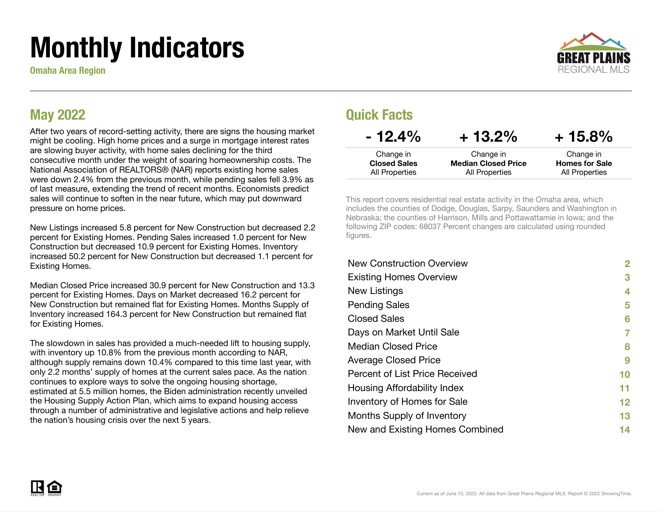# Monthly Indicators

Omaha Area Region



#### May 2022

After two years of record-setting activity, there are signs the housing market might be cooling. High home prices and a surge in mortgage interest rates are slowing buyer activity, with home sales declining for the third consecutive month under the weight of soaring homeownership costs. The National Association of REALTORS® (NAR) reports existing home sales were down 2.4% from the previous month, while pending sales fell 3.9% as of last measure, extending the trend of recent months. Economists predict sales will continue to soften in the near future, which may put downward pressure on home prices.

New Listings increased 5.8 percent for New Construction but decreased 2.2 percent for Existing Homes. Pending Sales increased 1.0 percent for New Construction but decreased 10.9 percent for Existing Homes. Inventory increased 50.2 percent for New Construction but decreased 1.1 percent for Existing Homes.

Median Closed Price increased 30.9 percent for New Construction and 13.3 percent for Existing Homes. Days on Market decreased 16.2 percent for New Construction but remained flat for Existing Homes. Months Supply of Inventory increased 164.3 percent for New Construction but remained flat for Existing Homes.

The slowdown in sales has provided a much-needed lift to housing supply, with inventory up 10.8% from the previous month according to NAR, although supply remains down 10.4% compared to this time last year, with only 2.2 months' supply of homes at the current sales pace. As the nation continues to explore ways to solve the ongoing housing shortage, estimated at 5.5 million homes, the Biden administration recently unveiled the Housing Supply Action Plan, which aims to expand housing access through a number of administrative and legislative actions and help relieve the nation's housing crisis over the next 5 years.

#### Quick Facts

| $-12.4\%$           | $+13.2\%$                  | $+15.8\%$             |
|---------------------|----------------------------|-----------------------|
| Change in           | Change in                  | Change in             |
| <b>Closed Sales</b> | <b>Median Closed Price</b> | <b>Homes for Sale</b> |
| All Properties      | All Properties             | All Properties        |

This report covers residential real estate activity in the Omaha area, which includes the counties of Dodge, Douglas, Sarpy, Saunders and Washington in Nebraska; the counties of Harrison, Mills and Pottawattamie in Iowa; and the following ZIP codes: 68037 Percent changes are calculated using rounded figures.

| <b>New Construction Overview</b>   | $\mathbf{2}$    |
|------------------------------------|-----------------|
| <b>Existing Homes Overview</b>     | 3               |
| New Listings                       | 4               |
| <b>Pending Sales</b>               | 5               |
| <b>Closed Sales</b>                | 6               |
| Days on Market Until Sale          | 7               |
| <b>Median Closed Price</b>         | 8               |
| <b>Average Closed Price</b>        | 9               |
| Percent of List Price Received     | 10              |
| Housing Affordability Index        | 11              |
| <b>Inventory of Homes for Sale</b> | 12 <sub>2</sub> |
| Months Supply of Inventory         | 13              |
| New and Existing Homes Combined    | 14              |

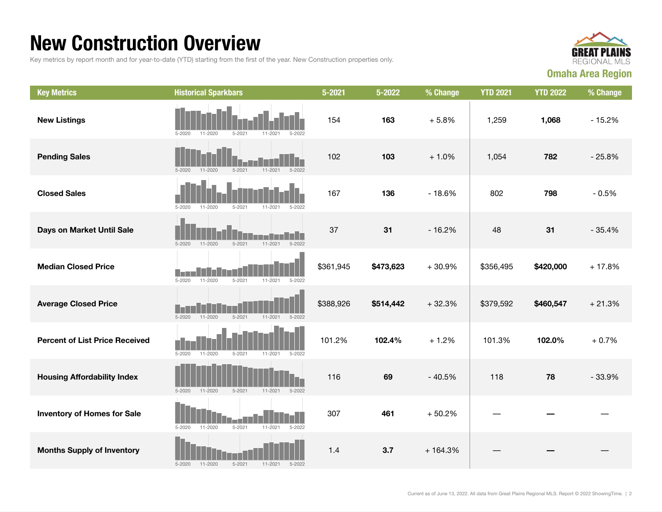### New Construction Overview

Key metrics by report month and for year-to-date (YTD) starting from the first of the year. New Construction properties only.



| <b>Key Metrics</b>                    | <b>Historical Sparkbars</b>                                                | $5 - 2021$ | 5-2022    | % Change  | <b>YTD 2021</b> | <b>YTD 2022</b> | % Change |
|---------------------------------------|----------------------------------------------------------------------------|------------|-----------|-----------|-----------------|-----------------|----------|
| <b>New Listings</b>                   | 11-2020<br>$5 - 2020$<br>$5 - 2021$<br>11-2021<br>5-2022                   | 154        | 163       | $+5.8%$   | 1,259           | 1,068           | $-15.2%$ |
| <b>Pending Sales</b>                  | $5 - 2021$<br>$11 - 2021$<br>$5 - 2022$<br>$5 - 2020$<br>$11 - 2020$       | 102        | 103       | $+1.0%$   | 1,054           | 782             | $-25.8%$ |
| <b>Closed Sales</b>                   | $5 - 2020$<br>$11 - 2020$<br>$5 - 2021$<br>11-2021<br>5-2022               | 167        | 136       | $-18.6%$  | 802             | 798             | $-0.5%$  |
| Days on Market Until Sale             | Пſ<br>$5 - 2021$<br>$11 - 2021$<br>$5 - 2022$<br>$5 - 2020$<br>$11 - 2020$ | 37         | 31        | $-16.2%$  | 48              | 31              | $-35.4%$ |
| <b>Median Closed Price</b>            | $5 - 2020$<br>$11 - 2020$<br>$5 - 2021$<br>$11 - 2021$<br>5-2022           | \$361,945  | \$473,623 | $+30.9%$  | \$356,495       | \$420,000       | $+17.8%$ |
| <b>Average Closed Price</b>           | $5 - 2020$<br>$11 - 2020$<br>$5 - 2021$<br>$11 - 2021$<br>$5 - 2022$       | \$388,926  | \$514,442 | $+32.3%$  | \$379,592       | \$460,547       | $+21.3%$ |
| <b>Percent of List Price Received</b> | $5 - 2020$<br>$11 - 2020$<br>$5 - 2021$<br>$11 - 2021$<br>$5 - 2022$       | 101.2%     | 102.4%    | $+1.2%$   | 101.3%          | 102.0%          | $+0.7%$  |
| <b>Housing Affordability Index</b>    | 11-2020<br>$5 - 2021$<br>$11 - 2021$<br>$5 - 2020$<br>$5 - 2022$           | 116        | 69        | $-40.5%$  | 118             | 78              | $-33.9%$ |
| <b>Inventory of Homes for Sale</b>    | $5 - 2021$<br>$11 - 2021$<br>$5 - 2022$<br>$5 - 2020$<br>11-2020           | 307        | 461       | $+50.2%$  |                 |                 |          |
| <b>Months Supply of Inventory</b>     | $5 - 2020$<br>$11 - 2020$<br>$5 - 2021$<br>$11 - 2021$<br>$5 - 2022$       | 1.4        | 3.7       | $+164.3%$ |                 |                 |          |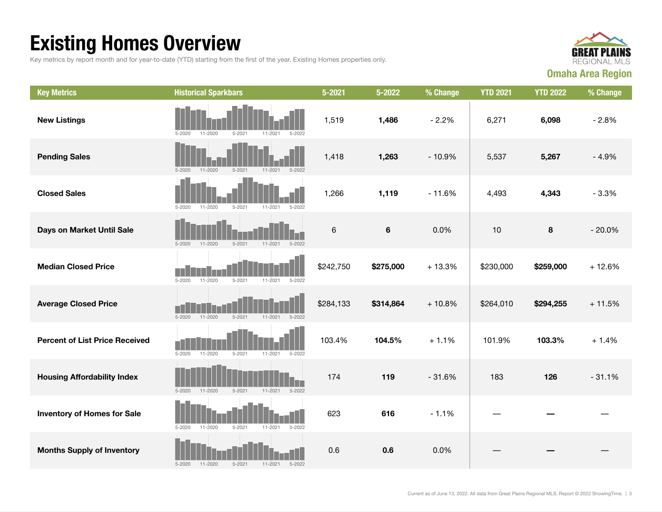## Existing Homes Overview

Key metrics by report month and for year-to-date (YTD) starting from the first of the year. Existing Homes properties only.



| <b>Key Metrics</b>                    | <b>Historical Sparkbars</b>                                          | $5 - 2021$ | 5-2022    | % Change | <b>YTD 2021</b> | <b>YTD 2022</b> | % Change |
|---------------------------------------|----------------------------------------------------------------------|------------|-----------|----------|-----------------|-----------------|----------|
| <b>New Listings</b>                   | $11 - 2020$<br>$5 - 2021$<br>$5 - 2022$<br>$5 - 2020$<br>$11 - 2021$ | 1,519      | 1,486     | $-2.2%$  | 6,271           | 6,098           | $-2.8%$  |
| <b>Pending Sales</b>                  | $5 - 2020$<br>$11 - 2020$<br>$5 - 2021$<br>11-2021<br>$5 - 2022$     | 1,418      | 1,263     | $-10.9%$ | 5,537           | 5,267           | $-4.9%$  |
| <b>Closed Sales</b>                   | $5 - 2020$<br>$5 - 2021$<br>$5 - 2022$<br>11-2020<br>11-2021         | 1,266      | 1,119     | $-11.6%$ | 4,493           | 4,343           | $-3.3%$  |
| Days on Market Until Sale             | 11-2021<br>$5 - 2020$<br>$11 - 2020$<br>$5 - 2021$<br>$5 - 2022$     | $\,6\,$    | 6         | 0.0%     | 10              | $\bf8$          | $-20.0%$ |
| <b>Median Closed Price</b>            | $5 - 2020$<br>$5 - 2021$<br>11-2021<br>$5 - 2022$<br>$11 - 2020$     | \$242,750  | \$275,000 | $+13.3%$ | \$230,000       | \$259,000       | $+12.6%$ |
| <b>Average Closed Price</b>           | $11 - 2020$<br>$5 - 2020$<br>$5 - 2021$<br>$11 - 2021$<br>$5 - 2022$ | \$284,133  | \$314,864 | $+10.8%$ | \$264,010       | \$294,255       | $+11.5%$ |
| <b>Percent of List Price Received</b> | $5 - 2020$<br>$11 - 2020$<br>$5 - 2021$<br>11-2021<br>5-2022         | 103.4%     | 104.5%    | $+1.1%$  | 101.9%          | 103.3%          | $+1.4%$  |
| <b>Housing Affordability Index</b>    | $5 - 2020$<br>$11 - 2020$<br>$5 - 2021$<br>$11 - 2021$<br>$5 - 2022$ | 174        | 119       | $-31.6%$ | 183             | 126             | $-31.1%$ |
| <b>Inventory of Homes for Sale</b>    | 11-2020<br>$5 - 2021$<br>$5 - 2022$<br>$5 - 2020$<br>11-2021         | 623        | 616       | $-1.1%$  |                 |                 |          |
| <b>Months Supply of Inventory</b>     | $5 - 2020$<br>$11 - 2020$<br>$5 - 2021$<br>$5 - 2022$<br>11-2021     | 0.6        | 0.6       | 0.0%     |                 |                 |          |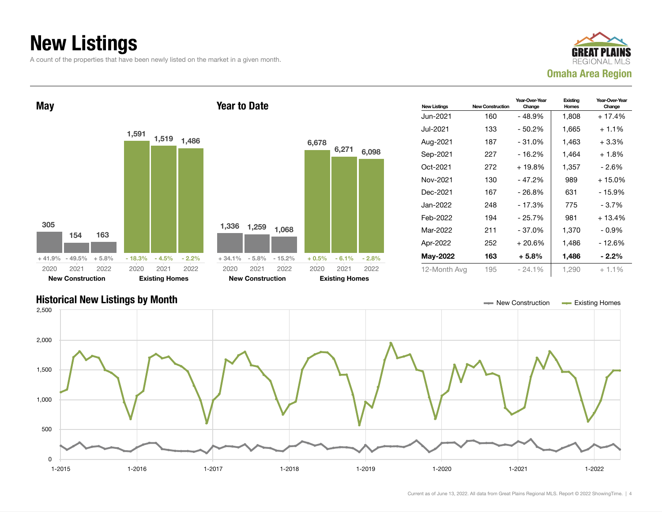## New Listings

A count of the properties that have been newly listed on the market in a given month.





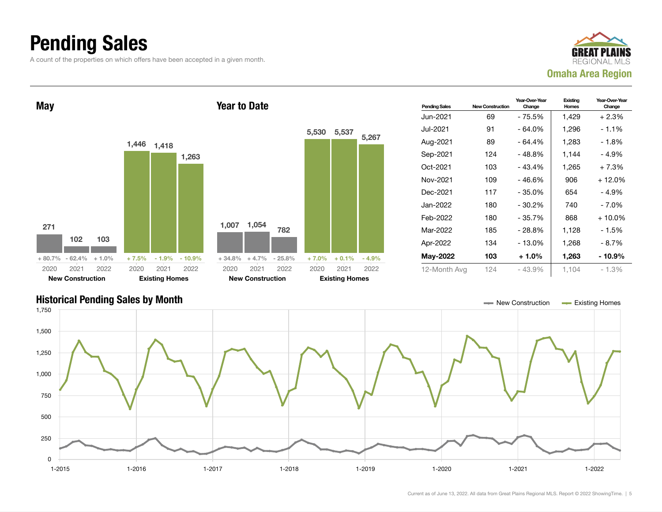## Pending Sales

A count of the properties on which offers have been accepted in a given month.





#### Historical Pending Sales by Month New York 2012 12:30 November 2013 12:30 New Construction Account Existing Homes 1-2015 1-2016 1-2017 1-2018 1-2019 1-2020 1-2021 1-2022 0 250 500 750 1,000 1,250 1,500 1,750

#### Current as of June 13, 2022. All data from Great Plains Regional MLS. Report © 2022 ShowingTime. | 5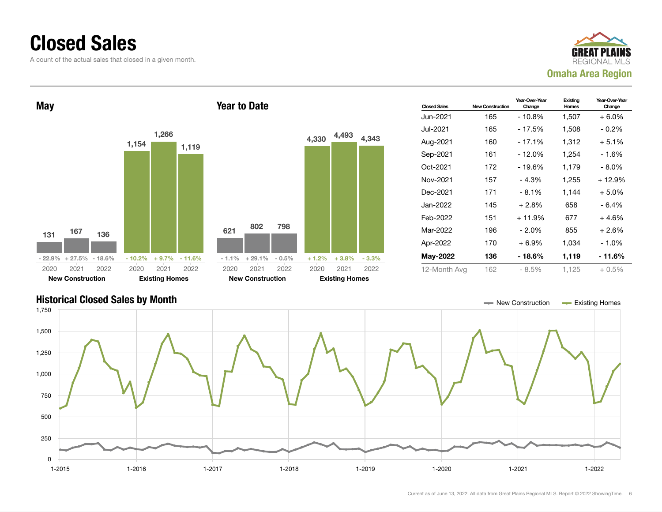### Closed Sales

A count of the actual sales that closed in a given month.





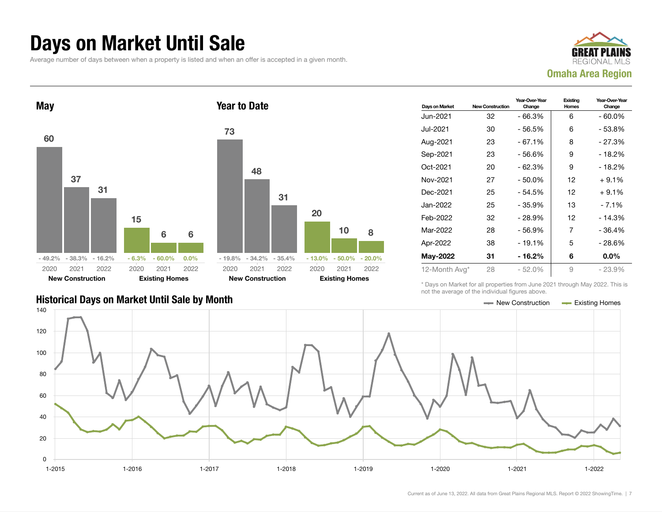#### Days on Market Until Sale

Average number of days between when a property is listed and when an offer is accepted in a given month.





| Days on Market | <b>New Construction</b> | Year-Over-Year<br>Change | Existing<br><b>Homes</b> | Year-Over-Year<br>Change |
|----------------|-------------------------|--------------------------|--------------------------|--------------------------|
| Jun-2021       | 32                      | $-66.3%$                 | 6                        | $-60.0\%$                |
| Jul-2021       | 30                      | - 56.5%                  | 6                        | $-53.8%$                 |
| Aug-2021       | 23                      | - 67.1%                  | 8                        | - 27.3%                  |
| Sep-2021       | 23                      | - 56.6%                  | 9                        | $-18.2%$                 |
| Oct-2021       | 20                      | $-62.3%$                 | 9                        | $-18.2%$                 |
| Nov-2021       | 27                      | $-50.0%$                 | 12                       | $+9.1%$                  |
| Dec-2021       | 25                      | $-54.5%$                 | 12                       | $+9.1%$                  |
| Jan-2022       | 25                      | - 35.9%                  | 13                       | $-7.1\%$                 |
| Feb-2022       | 32                      | $-28.9%$                 | 12                       | - 14.3%                  |
| Mar-2022       | 28                      | - 56.9%                  | 7                        | - 36.4%                  |
| Apr-2022       | 38                      | $-19.1%$                 | 5                        | $-28.6%$                 |
| May-2022       | 31                      | - 16.2%                  | 6                        | $0.0\%$                  |
| 12-Month Avg*  | 28                      | $-52.0%$                 | 9                        | $-23.9%$                 |

\* Days on Market for all properties from June 2021 through May 2022. This is not the average of the individual figures above.



#### Historical Days on Market Until Sale by Month New York New York New York New York New York New York Homes Existing Homes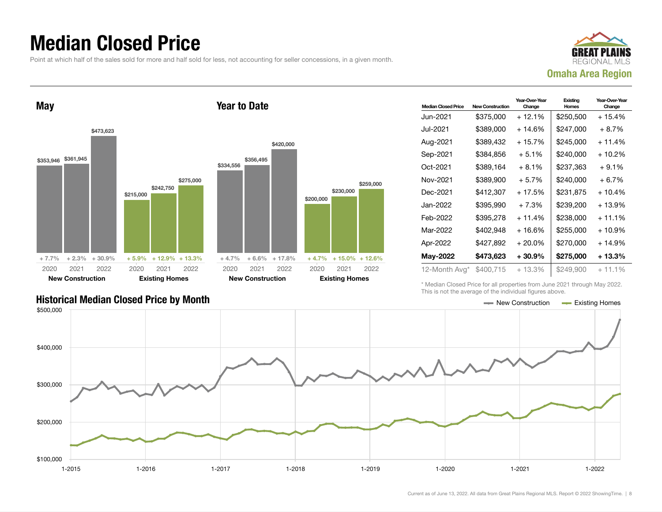### Median Closed Price

Point at which half of the sales sold for more and half sold for less, not accounting for seller concessions, in a given month.





| <b>Median Closed Price</b> | <b>New Construction</b> | Year-Over-Year<br>Change | Existing<br>Homes | Year-Over-Year<br>Change |
|----------------------------|-------------------------|--------------------------|-------------------|--------------------------|
| Jun-2021.                  | \$375,000               | $+12.1%$                 | \$250,500         | $+15.4%$                 |
| Jul-2021                   | \$389.000               | + 14.6%                  | \$247,000         | $+8.7%$                  |
| Aug-2021                   | \$389,432               | + 15.7%                  | \$245,000         | $+11.4%$                 |
| Sep-2021                   | \$384,856               | $+5.1%$                  | \$240.000         | $+10.2%$                 |
| Oct-2021                   | \$389,164               | $+8.1%$                  | \$237,363         | $+9.1%$                  |
| Nov-2021                   | \$389,900               | $+5.7%$                  | \$240,000         | $+6.7%$                  |
| Dec-2021                   | \$412,307               | + 17.5%                  | \$231,875         | $+10.4%$                 |
| Jan-2022                   | \$395.990               | $+7.3%$                  | \$239.200         | $+13.9%$                 |
| Feb-2022                   | \$395.278               | $+11.4%$                 | \$238,000         | $+11.1\%$                |
| Mar-2022                   | \$402.948               | $+16.6%$                 | \$255,000         | $+10.9%$                 |
| Apr-2022                   | \$427,892               | $+20.0\%$                | \$270,000         | $+14.9%$                 |
| <b>May-2022</b>            | \$473,623               | $+30.9\%$                | \$275,000         | $+13.3%$                 |
| 12-Month Avg*              | \$400,715               | $+13.3%$                 | \$249,900         | $+11.1%$                 |

Historical Median Closed Price by Month **New Construction Accord Price by Month** New Construction Accord Existing Homes

\* Median Closed Price for all properties from June 2021 through May 2022. This is not the average of the individual figures above.

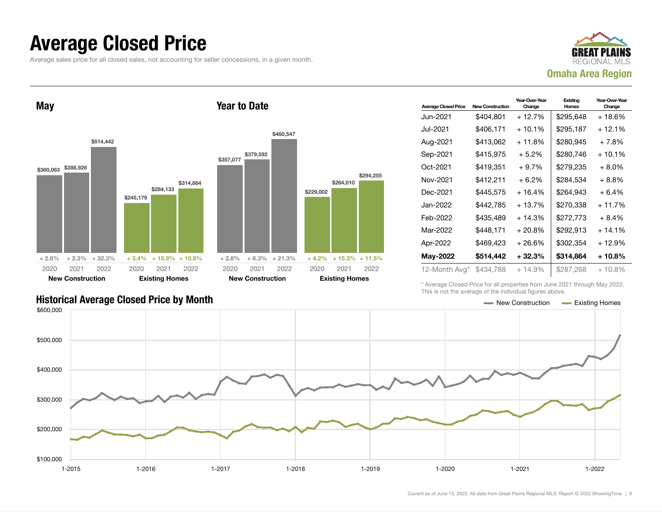#### Average Closed Price

Average sales price for all closed sales, not accounting for seller concessions, in a given month.



May \$380,063 \$388,926 \$514,442  $+ 2.6\% + 2.3\% + 32.3\%$ \$245,179 \$284,133 \$314,864 + 3.4% + 15.9% + 10.8% 2020 New Construction 2021 2022 2020 Existing Homes 2021 2022 Year to Date \$357,077 \$379,592 \$460,547  $+ 2.8\% + 6.3\% + 21.3\%$ \$229,002 \$264,010 \$294,255 + 4.2% + 15.3% + 11.5% 2020 New Construction 2021 2022 2020 Existing Homes 2021 2022

| <b>Average Closed Price</b> | <b>New Construction</b> | Year-Over-Year<br>Change | Existing<br>Homes | Year-Over-Year<br>Change |
|-----------------------------|-------------------------|--------------------------|-------------------|--------------------------|
| Jun-2021                    | \$404,801               | + 12.7%                  | \$295,648         | + 18.6%                  |
| Jul-2021                    | \$406,171               | $+10.1%$                 | \$295,187         | $+12.1%$                 |
| Aug-2021                    | \$413,062               | $+11.8%$                 | \$280,945         | + 7.8%                   |
| Sep-2021                    | \$415,975               | $+5.2\%$                 | \$280,746         | + 10.1%                  |
| Oct-2021                    | \$419.351               | $+9.7%$                  | \$279,235         | + 8.0%                   |
| Nov-2021                    | \$412,211               | $+6.2%$                  | \$284.534         | + 8.8%                   |
| Dec-2021                    | \$445,575               | $+16.4%$                 | \$264,943         | + 6.4%                   |
| Jan-2022.                   | \$442,785               | $+13.7%$                 | \$270,338         | $+11.7%$                 |
| Feb-2022                    | \$435,489               | $+14.3%$                 | \$272,773         | $+8.4%$                  |
| Mar-2022                    | \$448,171               | $+20.8%$                 | \$292,913         | $+14.1%$                 |
| Apr-2022                    | \$469.423               | + 26.6%                  | \$302,354         | + 12.9%                  |
| May-2022                    | \$514,442               | $+32.3%$                 | \$314,864         | + 10.8%                  |
| 12-Month Avg*               | \$434,788               | $+14.9%$                 | \$287,268         | + 10.8%                  |

Historical Average Closed Price by Month **New Construction Average Closed Price by Month** New Construction **New Construction** 

\* Average Closed Price for all properties from June 2021 through May 2022. This is not the average of the individual figures above.

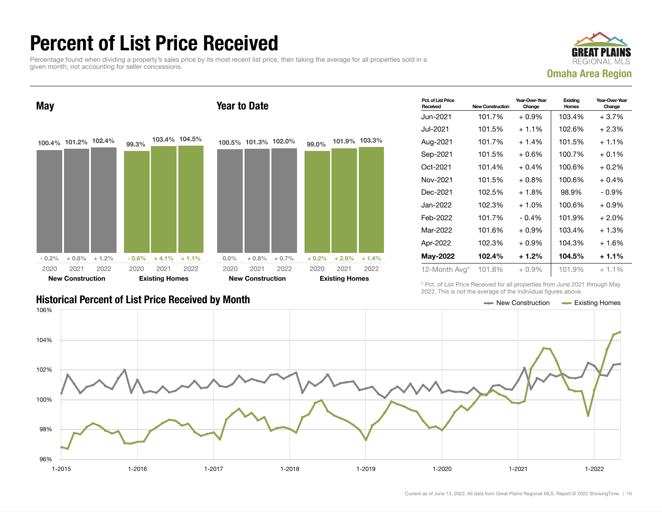## Percent of List Price Received

Percentage found when dividing a property's sales price by its most recent list price, then taking the average for all properties sold in a given month, not accounting for seller concessions.



May 100.4% 101.2% 102.4%  $-0.2\% + 0.8\% + 1.2\%$ 99.3% 103.4% 104.5%  $-0.6\%$   $+4.1\%$   $+1.1\%$ 2020 New Construction 2021 2022 2020 Existing Homes 2021 2022 Year to Date 100.5% 101.3% 102.0%  $0.0\%$  + 0.8% + 0.7% 99.0% 101.9% 103.3%  $+ 0.2\% + 2.9\% + 1.4\%$ 2020 New Construction 2021 2022 2020 Existing Homes 2021 2022

| Pct. of List Price<br>Received | <b>New Construction</b> | Year-Over-Year<br>Change | Existing<br>Homes | Year-Over-Year<br>Change |
|--------------------------------|-------------------------|--------------------------|-------------------|--------------------------|
| Jun-2021                       | 101.7%                  | $+0.9\%$                 | 103.4%            | $+3.7%$                  |
| Jul-2021.                      | 101.5%                  | $+1.1%$                  | 102.6%            | $+2.3%$                  |
| Aug-2021                       | 101.7%                  | $+1.4%$                  | 101.5%            | $+1.1%$                  |
| Sep-2021                       | 101.5%                  | $+0.6\%$                 | 100.7%            | $+0.1%$                  |
| Oct-2021                       | 101.4%                  | $+0.4%$                  | 100.6%            | $+0.2%$                  |
| Nov-2021                       | 101.5%                  | $+0.8\%$                 | 100.6%            | $+0.4%$                  |
| Dec-2021                       | 102.5%                  | $+1.8\%$                 | 98.9%             | $-0.9\%$                 |
| Jan-2022                       | 102.3%                  | $+1.0%$                  | 100.6%            | $+0.9%$                  |
| Feb-2022                       | 101.7%                  | $-0.4%$                  | 101.9%            | $+2.0%$                  |
| Mar-2022                       | 101.6%                  | $+0.9%$                  | 103.4%            | $+1.3%$                  |
| Apr-2022                       | 102.3%                  | $+0.9\%$                 | 104.3%            | $+1.6%$                  |
| <b>May-2022</b>                | 102.4%                  | $+1.2%$                  | 104.5%            | $+1.1%$                  |
| 12-Month Avg*                  | 101.8%                  | $+0.9\%$                 | 101.9%            | $+1.1%$                  |

\* Pct. of List Price Received for all properties from June 2021 through May 2022. This is not the average of the individual figures above.

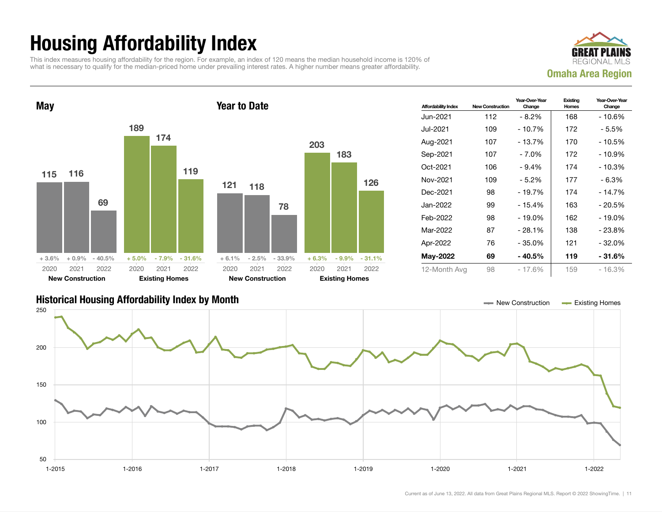## Housing Affordability Index

This index measures housing affordability for the region. For example, an index of 120 means the median household income is 120% of what is necessary to qualify for the median-priced home under prevailing interest rates. A higher number means greater affordability.





| <b>Affordability Index</b> | <b>New Construction</b> | Year-Over-Year<br>Change | Existing<br>Homes | Year-Over-Year<br>Change |
|----------------------------|-------------------------|--------------------------|-------------------|--------------------------|
| Jun-2021                   | 112                     | - 8.2%                   | 168               | - 10.6%                  |
| Jul-2021                   | 109                     | $-10.7%$                 | 172               | - 5.5%                   |
| Aug-2021                   | 107                     | - 13.7%                  | 170               | - 10.5%                  |
| Sep-2021                   | 107                     | - 7.0%                   | 172               | $-10.9%$                 |
| Oct-2021                   | 106                     | $-9.4%$                  | 174               | - 10.3%                  |
| Nov-2021                   | 109                     | $-5.2%$                  | 177               | $-6.3%$                  |
| Dec-2021                   | 98                      | $-19.7%$                 | 174               | $-14.7%$                 |
| Jan-2022                   | 99                      | $-15.4%$                 | 163               | - 20.5%                  |
| Feb-2022                   | 98                      | $-19.0\%$                | 162               | - 19.0%                  |
| Mar-2022                   | 87                      | $-28.1%$                 | 138               | - 23.8%                  |
| Apr-2022                   | 76                      | - 35.0%                  | 121               | - 32.0%                  |
| May-2022                   | 69                      | - 40.5%                  | 119               | - 31.6%                  |
| 12-Month Avg               | 98                      | $-17.6%$                 | 159               | - 16.3%                  |

#### Historical Housing Affordability Index by Month New Construction Existing Homes



126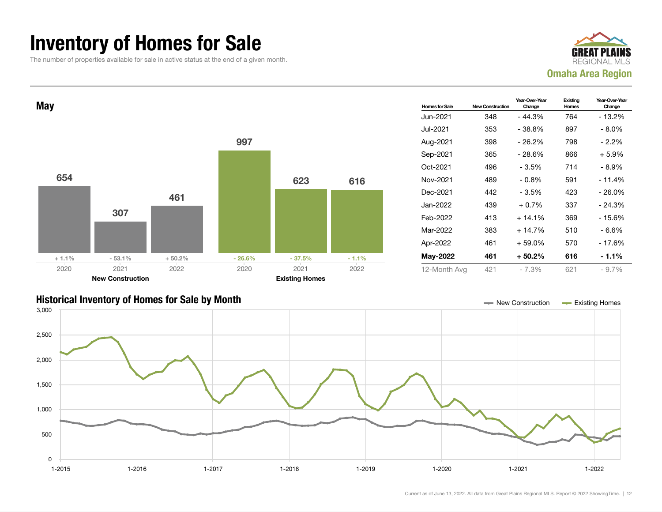### Inventory of Homes for Sale

The number of properties available for sale in active status at the end of a given month.







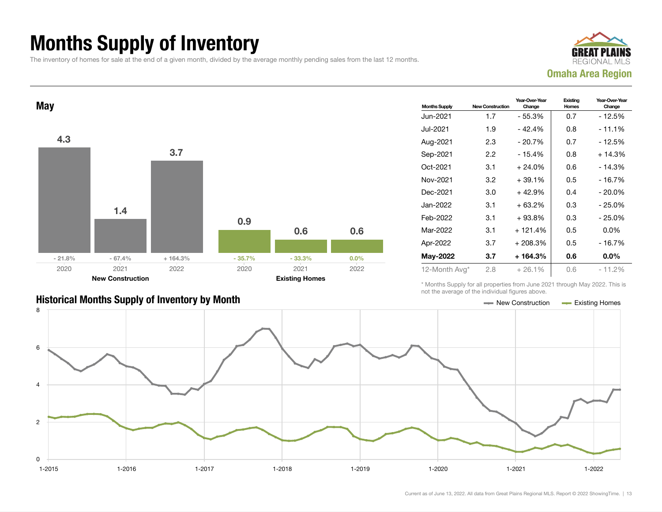## Months Supply of Inventory

The inventory of homes for sale at the end of a given month, divided by the average monthly pending sales from the last 12 months.





#### Historical Months Supply of Inventory by Month Month New York 1997 New Construction Access Existing Homes

| <b>Months Supply</b> | <b>New Construction</b> | Year-Over-Year<br>Change | Existing<br>Homes | Year-Over-Year<br>Change |
|----------------------|-------------------------|--------------------------|-------------------|--------------------------|
| Jun-2021             | 1.7                     | - 55.3%                  | 0.7               | - 12.5%                  |
| Jul-2021             | 1.9                     | $-42.4%$                 | 0.8               | $-11.1%$                 |
| Aug-2021             | 2.3                     | $-20.7%$                 | 0.7               | - 12.5%                  |
| Sep-2021             | 2.2                     | $-15.4%$                 | 0.8               | $+14.3%$                 |
| Oct-2021             | 3.1                     | $+24.0%$                 | 0.6               | - 14.3%                  |
| Nov-2021             | 3.2                     | $+39.1%$                 | 0.5               | $-16.7%$                 |
| Dec-2021             | 3.0                     | $+42.9%$                 | 0.4               | $-20.0\%$                |
| Jan-2022             | 3.1                     | $+63.2%$                 | 0.3               | - 25.0%                  |
| Feb-2022             | 3.1                     | $+93.8%$                 | 0.3               | $-25.0%$                 |
| Mar-2022             | 3.1                     | $+121.4%$                | 0.5               | $0.0\%$                  |
| Apr-2022             | 3.7                     | $+208.3%$                | 0.5               | $-16.7%$                 |
| May-2022             | 3.7                     | $+164.3%$                | 0.6               | $0.0\%$                  |
| 12-Month Avg*        | 2.8                     | $+26.1%$                 | 0.6               | - 11.2%                  |

\* Months Supply for all properties from June 2021 through May 2022. This is not the average of the individual figures above.